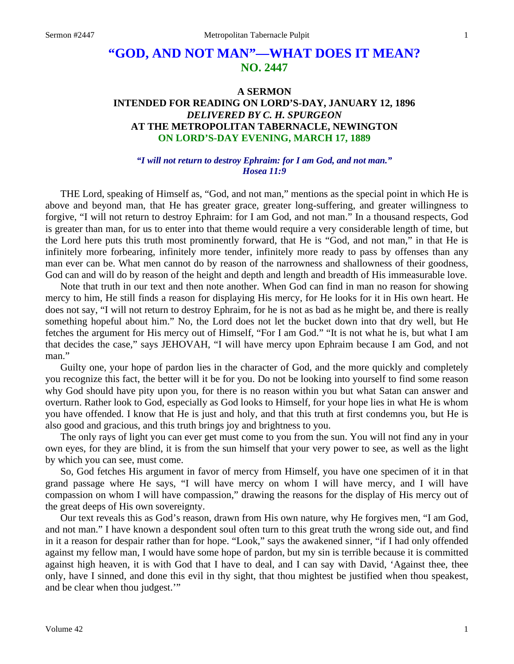# **"GOD, AND NOT MAN"—WHAT DOES IT MEAN? NO. 2447**

# **A SERMON INTENDED FOR READING ON LORD'S-DAY, JANUARY 12, 1896**  *DELIVERED BY C. H. SPURGEON*  **AT THE METROPOLITAN TABERNACLE, NEWINGTON ON LORD'S-DAY EVENING, MARCH 17, 1889**

#### *"I will not return to destroy Ephraim: for I am God, and not man." Hosea 11:9*

THE Lord, speaking of Himself as, "God, and not man," mentions as the special point in which He is above and beyond man, that He has greater grace, greater long-suffering, and greater willingness to forgive, "I will not return to destroy Ephraim: for I am God, and not man." In a thousand respects, God is greater than man, for us to enter into that theme would require a very considerable length of time, but the Lord here puts this truth most prominently forward, that He is "God, and not man," in that He is infinitely more forbearing, infinitely more tender, infinitely more ready to pass by offenses than any man ever can be. What men cannot do by reason of the narrowness and shallowness of their goodness, God can and will do by reason of the height and depth and length and breadth of His immeasurable love.

Note that truth in our text and then note another. When God can find in man no reason for showing mercy to him, He still finds a reason for displaying His mercy, for He looks for it in His own heart. He does not say, "I will not return to destroy Ephraim, for he is not as bad as he might be, and there is really something hopeful about him." No, the Lord does not let the bucket down into that dry well, but He fetches the argument for His mercy out of Himself, "For I am God." "It is not what he is, but what I am that decides the case," says JEHOVAH, "I will have mercy upon Ephraim because I am God, and not man."

Guilty one, your hope of pardon lies in the character of God, and the more quickly and completely you recognize this fact, the better will it be for you. Do not be looking into yourself to find some reason why God should have pity upon you, for there is no reason within you but what Satan can answer and overturn. Rather look to God, especially as God looks to Himself, for your hope lies in what He is whom you have offended. I know that He is just and holy, and that this truth at first condemns you, but He is also good and gracious, and this truth brings joy and brightness to you.

The only rays of light you can ever get must come to you from the sun. You will not find any in your own eyes, for they are blind, it is from the sun himself that your very power to see, as well as the light by which you can see, must come.

So, God fetches His argument in favor of mercy from Himself, you have one specimen of it in that grand passage where He says, "I will have mercy on whom I will have mercy, and I will have compassion on whom I will have compassion," drawing the reasons for the display of His mercy out of the great deeps of His own sovereignty.

Our text reveals this as God's reason, drawn from His own nature, why He forgives men, "I am God, and not man." I have known a despondent soul often turn to this great truth the wrong side out, and find in it a reason for despair rather than for hope. "Look," says the awakened sinner, "if I had only offended against my fellow man, I would have some hope of pardon, but my sin is terrible because it is committed against high heaven, it is with God that I have to deal, and I can say with David, 'Against thee, thee only, have I sinned, and done this evil in thy sight, that thou mightest be justified when thou speakest, and be clear when thou judgest.'"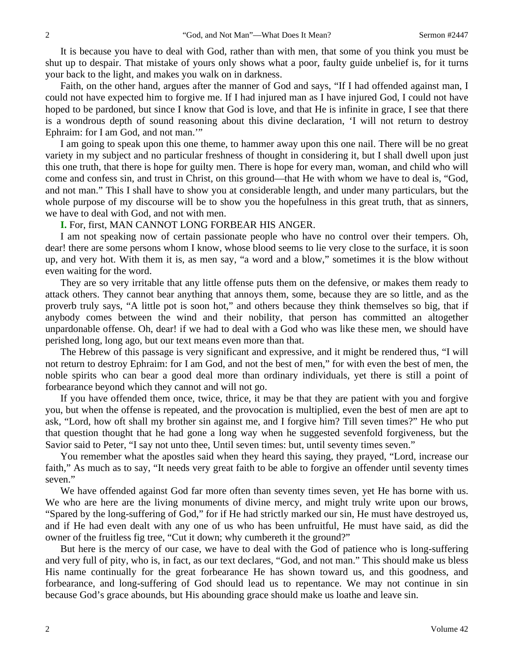It is because you have to deal with God, rather than with men, that some of you think you must be shut up to despair. That mistake of yours only shows what a poor, faulty guide unbelief is, for it turns your back to the light, and makes you walk on in darkness.

Faith, on the other hand, argues after the manner of God and says, "If I had offended against man, I could not have expected him to forgive me. If I had injured man as I have injured God, I could not have hoped to be pardoned, but since I know that God is love, and that He is infinite in grace, I see that there is a wondrous depth of sound reasoning about this divine declaration, 'I will not return to destroy Ephraim: for I am God, and not man.'"

I am going to speak upon this one theme, to hammer away upon this one nail. There will be no great variety in my subject and no particular freshness of thought in considering it, but I shall dwell upon just this one truth, that there is hope for guilty men. There is hope for every man, woman, and child who will come and confess sin, and trust in Christ, on this ground—that He with whom we have to deal is, "God, and not man." This I shall have to show you at considerable length, and under many particulars, but the whole purpose of my discourse will be to show you the hopefulness in this great truth, that as sinners, we have to deal with God, and not with men.

#### **I.** For, first, MAN CANNOT LONG FORBEAR HIS ANGER.

I am not speaking now of certain passionate people who have no control over their tempers. Oh, dear! there are some persons whom I know, whose blood seems to lie very close to the surface, it is soon up, and very hot. With them it is, as men say, "a word and a blow," sometimes it is the blow without even waiting for the word.

They are so very irritable that any little offense puts them on the defensive, or makes them ready to attack others. They cannot bear anything that annoys them, some, because they are so little, and as the proverb truly says, "A little pot is soon hot," and others because they think themselves so big, that if anybody comes between the wind and their nobility, that person has committed an altogether unpardonable offense. Oh, dear! if we had to deal with a God who was like these men, we should have perished long, long ago, but our text means even more than that.

The Hebrew of this passage is very significant and expressive, and it might be rendered thus, "I will not return to destroy Ephraim: for I am God, and not the best of men," for with even the best of men, the noble spirits who can bear a good deal more than ordinary individuals, yet there is still a point of forbearance beyond which they cannot and will not go.

If you have offended them once, twice, thrice, it may be that they are patient with you and forgive you, but when the offense is repeated, and the provocation is multiplied, even the best of men are apt to ask, "Lord, how oft shall my brother sin against me, and I forgive him? Till seven times?" He who put that question thought that he had gone a long way when he suggested sevenfold forgiveness, but the Savior said to Peter, "I say not unto thee, Until seven times: but, until seventy times seven."

You remember what the apostles said when they heard this saying, they prayed, "Lord, increase our faith," As much as to say, "It needs very great faith to be able to forgive an offender until seventy times seven."

We have offended against God far more often than seventy times seven, yet He has borne with us. We who are here are the living monuments of divine mercy, and might truly write upon our brows, "Spared by the long-suffering of God," for if He had strictly marked our sin, He must have destroyed us, and if He had even dealt with any one of us who has been unfruitful, He must have said, as did the owner of the fruitless fig tree, "Cut it down; why cumbereth it the ground?"

But here is the mercy of our case, we have to deal with the God of patience who is long-suffering and very full of pity, who is, in fact, as our text declares, "God, and not man." This should make us bless His name continually for the great forbearance He has shown toward us, and this goodness, and forbearance, and long-suffering of God should lead us to repentance. We may not continue in sin because God's grace abounds, but His abounding grace should make us loathe and leave sin.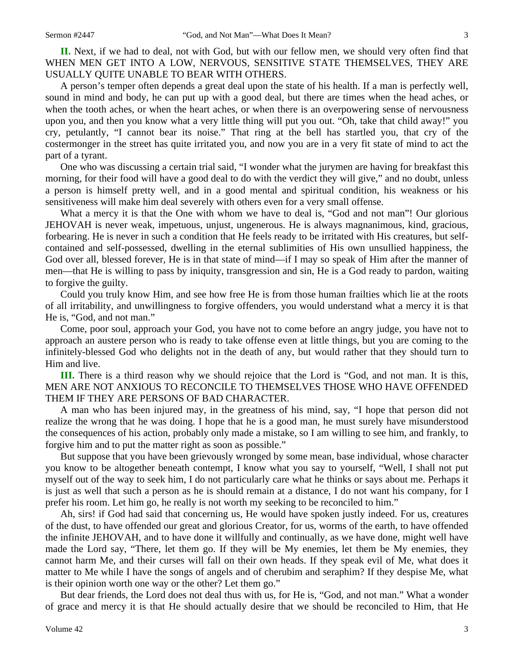**II.** Next, if we had to deal, not with God, but with our fellow men, we should very often find that WHEN MEN GET INTO A LOW, NERVOUS, SENSITIVE STATE THEMSELVES, THEY ARE USUALLY QUITE UNABLE TO BEAR WITH OTHERS.

A person's temper often depends a great deal upon the state of his health. If a man is perfectly well, sound in mind and body, he can put up with a good deal, but there are times when the head aches, or when the tooth aches, or when the heart aches, or when there is an overpowering sense of nervousness upon you, and then you know what a very little thing will put you out. "Oh, take that child away!" you cry, petulantly, "I cannot bear its noise." That ring at the bell has startled you, that cry of the costermonger in the street has quite irritated you, and now you are in a very fit state of mind to act the part of a tyrant.

One who was discussing a certain trial said, "I wonder what the jurymen are having for breakfast this morning, for their food will have a good deal to do with the verdict they will give," and no doubt, unless a person is himself pretty well, and in a good mental and spiritual condition, his weakness or his sensitiveness will make him deal severely with others even for a very small offense.

What a mercy it is that the One with whom we have to deal is, "God and not man"! Our glorious JEHOVAH is never weak, impetuous, unjust, ungenerous. He is always magnanimous, kind, gracious, forbearing. He is never in such a condition that He feels ready to be irritated with His creatures, but selfcontained and self-possessed, dwelling in the eternal sublimities of His own unsullied happiness, the God over all, blessed forever, He is in that state of mind—if I may so speak of Him after the manner of men—that He is willing to pass by iniquity, transgression and sin, He is a God ready to pardon, waiting to forgive the guilty.

Could you truly know Him, and see how free He is from those human frailties which lie at the roots of all irritability, and unwillingness to forgive offenders, you would understand what a mercy it is that He is, "God, and not man."

Come, poor soul, approach your God, you have not to come before an angry judge, you have not to approach an austere person who is ready to take offense even at little things, but you are coming to the infinitely-blessed God who delights not in the death of any, but would rather that they should turn to Him and live.

**III.** There is a third reason why we should rejoice that the Lord is "God, and not man. It is this, MEN ARE NOT ANXIOUS TO RECONCILE TO THEMSELVES THOSE WHO HAVE OFFENDED THEM IF THEY ARE PERSONS OF BAD CHARACTER.

A man who has been injured may, in the greatness of his mind, say, "I hope that person did not realize the wrong that he was doing. I hope that he is a good man, he must surely have misunderstood the consequences of his action, probably only made a mistake, so I am willing to see him, and frankly, to forgive him and to put the matter right as soon as possible."

But suppose that you have been grievously wronged by some mean, base individual, whose character you know to be altogether beneath contempt, I know what you say to yourself, "Well, I shall not put myself out of the way to seek him, I do not particularly care what he thinks or says about me. Perhaps it is just as well that such a person as he is should remain at a distance, I do not want his company, for I prefer his room. Let him go, he really is not worth my seeking to be reconciled to him."

Ah, sirs! if God had said that concerning us, He would have spoken justly indeed. For us, creatures of the dust, to have offended our great and glorious Creator, for us, worms of the earth, to have offended the infinite JEHOVAH, and to have done it willfully and continually, as we have done, might well have made the Lord say, "There, let them go. If they will be My enemies, let them be My enemies, they cannot harm Me, and their curses will fall on their own heads. If they speak evil of Me, what does it matter to Me while I have the songs of angels and of cherubim and seraphim? If they despise Me, what is their opinion worth one way or the other? Let them go."

But dear friends, the Lord does not deal thus with us, for He is, "God, and not man." What a wonder of grace and mercy it is that He should actually desire that we should be reconciled to Him, that He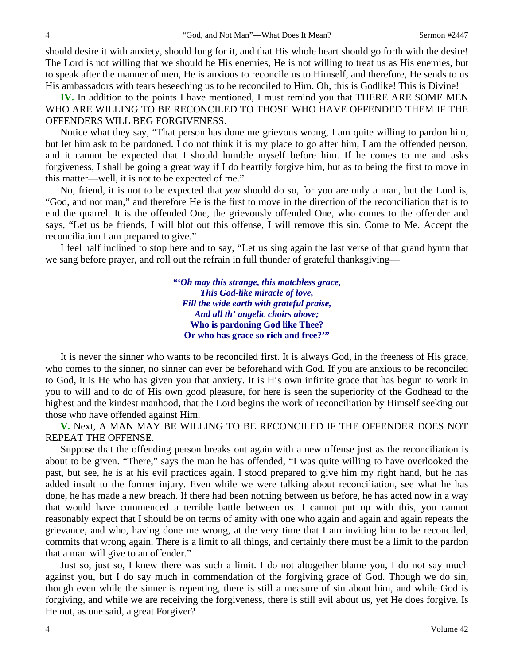should desire it with anxiety, should long for it, and that His whole heart should go forth with the desire! The Lord is not willing that we should be His enemies, He is not willing to treat us as His enemies, but to speak after the manner of men, He is anxious to reconcile us to Himself, and therefore, He sends to us His ambassadors with tears beseeching us to be reconciled to Him. Oh, this is Godlike! This is Divine!

**IV.** In addition to the points I have mentioned, I must remind you that THERE ARE SOME MEN WHO ARE WILLING TO BE RECONCILED TO THOSE WHO HAVE OFFENDED THEM IF THE OFFENDERS WILL BEG FORGIVENESS.

Notice what they say, "That person has done me grievous wrong, I am quite willing to pardon him, but let him ask to be pardoned. I do not think it is my place to go after him, I am the offended person, and it cannot be expected that I should humble myself before him. If he comes to me and asks forgiveness, I shall be going a great way if I do heartily forgive him, but as to being the first to move in this matter—well, it is not to be expected of me."

No, friend, it is not to be expected that *you* should do so, for you are only a man, but the Lord is, "God, and not man," and therefore He is the first to move in the direction of the reconciliation that is to end the quarrel. It is the offended One, the grievously offended One, who comes to the offender and says, "Let us be friends, I will blot out this offense, I will remove this sin. Come to Me. Accept the reconciliation I am prepared to give."

I feel half inclined to stop here and to say, "Let us sing again the last verse of that grand hymn that we sang before prayer, and roll out the refrain in full thunder of grateful thanksgiving—

> *"'Oh may this strange, this matchless grace, This God-like miracle of love, Fill the wide earth with grateful praise, And all th' angelic choirs above;*  **Who is pardoning God like Thee? Or who has grace so rich and free?'"**

It is never the sinner who wants to be reconciled first. It is always God, in the freeness of His grace, who comes to the sinner, no sinner can ever be beforehand with God. If you are anxious to be reconciled to God, it is He who has given you that anxiety. It is His own infinite grace that has begun to work in you to will and to do of His own good pleasure, for here is seen the superiority of the Godhead to the highest and the kindest manhood, that the Lord begins the work of reconciliation by Himself seeking out those who have offended against Him.

**V.** Next, A MAN MAY BE WILLING TO BE RECONCILED IF THE OFFENDER DOES NOT REPEAT THE OFFENSE.

Suppose that the offending person breaks out again with a new offense just as the reconciliation is about to be given. "There," says the man he has offended, "I was quite willing to have overlooked the past, but see, he is at his evil practices again. I stood prepared to give him my right hand, but he has added insult to the former injury. Even while we were talking about reconciliation, see what he has done, he has made a new breach. If there had been nothing between us before, he has acted now in a way that would have commenced a terrible battle between us. I cannot put up with this, you cannot reasonably expect that I should be on terms of amity with one who again and again and again repeats the grievance, and who, having done me wrong, at the very time that I am inviting him to be reconciled, commits that wrong again. There is a limit to all things, and certainly there must be a limit to the pardon that a man will give to an offender."

Just so, just so, I knew there was such a limit. I do not altogether blame you, I do not say much against you, but I do say much in commendation of the forgiving grace of God. Though we do sin, though even while the sinner is repenting, there is still a measure of sin about him, and while God is forgiving, and while we are receiving the forgiveness, there is still evil about us, yet He does forgive. Is He not, as one said, a great Forgiver?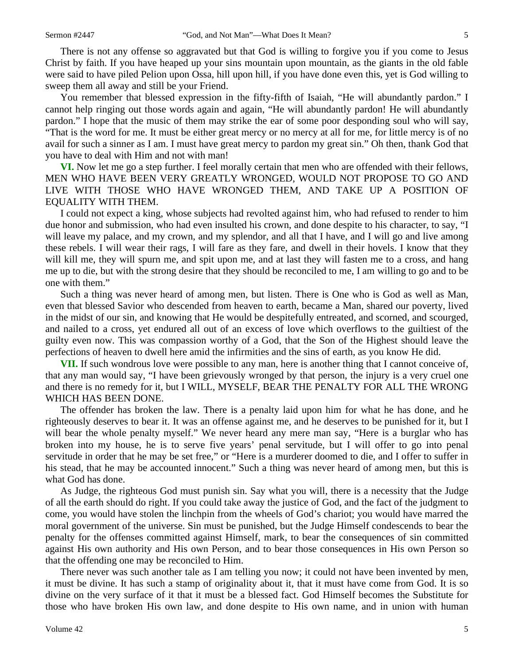There is not any offense so aggravated but that God is willing to forgive you if you come to Jesus Christ by faith. If you have heaped up your sins mountain upon mountain, as the giants in the old fable were said to have piled Pelion upon Ossa, hill upon hill, if you have done even this, yet is God willing to sweep them all away and still be your Friend.

You remember that blessed expression in the fifty-fifth of Isaiah, "He will abundantly pardon." I cannot help ringing out those words again and again, "He will abundantly pardon! He will abundantly pardon." I hope that the music of them may strike the ear of some poor desponding soul who will say, "That is the word for me. It must be either great mercy or no mercy at all for me, for little mercy is of no avail for such a sinner as I am. I must have great mercy to pardon my great sin." Oh then, thank God that you have to deal with Him and not with man!

**VI.** Now let me go a step further. I feel morally certain that men who are offended with their fellows, MEN WHO HAVE BEEN VERY GREATLY WRONGED, WOULD NOT PROPOSE TO GO AND LIVE WITH THOSE WHO HAVE WRONGED THEM, AND TAKE UP A POSITION OF EQUALITY WITH THEM.

I could not expect a king, whose subjects had revolted against him, who had refused to render to him due honor and submission, who had even insulted his crown, and done despite to his character, to say, "I will leave my palace, and my crown, and my splendor, and all that I have, and I will go and live among these rebels. I will wear their rags, I will fare as they fare, and dwell in their hovels. I know that they will kill me, they will spurn me, and spit upon me, and at last they will fasten me to a cross, and hang me up to die, but with the strong desire that they should be reconciled to me, I am willing to go and to be one with them."

Such a thing was never heard of among men, but listen. There is One who is God as well as Man, even that blessed Savior who descended from heaven to earth, became a Man, shared our poverty, lived in the midst of our sin, and knowing that He would be despitefully entreated, and scorned, and scourged, and nailed to a cross, yet endured all out of an excess of love which overflows to the guiltiest of the guilty even now. This was compassion worthy of a God, that the Son of the Highest should leave the perfections of heaven to dwell here amid the infirmities and the sins of earth, as you know He did.

**VII.** If such wondrous love were possible to any man, here is another thing that I cannot conceive of, that any man would say, "I have been grievously wronged by that person, the injury is a very cruel one and there is no remedy for it, but I WILL, MYSELF, BEAR THE PENALTY FOR ALL THE WRONG WHICH HAS BEEN DONE.

The offender has broken the law. There is a penalty laid upon him for what he has done, and he righteously deserves to bear it. It was an offense against me, and he deserves to be punished for it, but I will bear the whole penalty myself." We never heard any mere man say, "Here is a burglar who has broken into my house, he is to serve five years' penal servitude, but I will offer to go into penal servitude in order that he may be set free," or "Here is a murderer doomed to die, and I offer to suffer in his stead, that he may be accounted innocent." Such a thing was never heard of among men, but this is what God has done.

As Judge, the righteous God must punish sin. Say what you will, there is a necessity that the Judge of all the earth should do right. If you could take away the justice of God, and the fact of the judgment to come, you would have stolen the linchpin from the wheels of God's chariot; you would have marred the moral government of the universe. Sin must be punished, but the Judge Himself condescends to bear the penalty for the offenses committed against Himself, mark, to bear the consequences of sin committed against His own authority and His own Person, and to bear those consequences in His own Person so that the offending one may be reconciled to Him.

There never was such another tale as I am telling you now; it could not have been invented by men, it must be divine. It has such a stamp of originality about it, that it must have come from God. It is so divine on the very surface of it that it must be a blessed fact. God Himself becomes the Substitute for those who have broken His own law, and done despite to His own name, and in union with human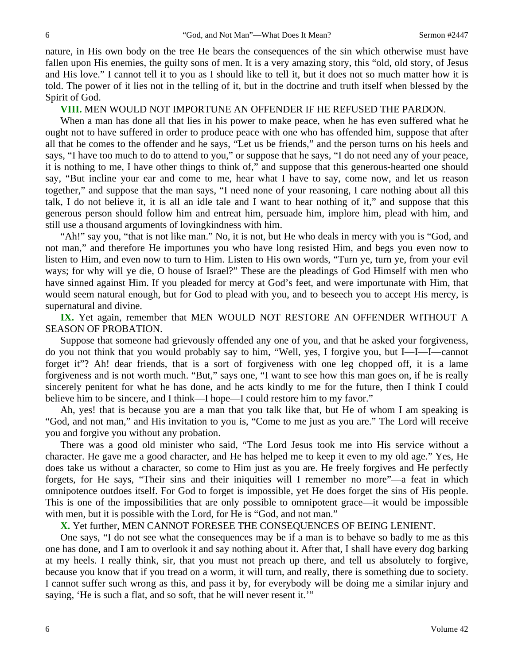nature, in His own body on the tree He bears the consequences of the sin which otherwise must have fallen upon His enemies, the guilty sons of men. It is a very amazing story, this "old, old story, of Jesus and His love." I cannot tell it to you as I should like to tell it, but it does not so much matter how it is told. The power of it lies not in the telling of it, but in the doctrine and truth itself when blessed by the Spirit of God.

**VIII.** MEN WOULD NOT IMPORTUNE AN OFFENDER IF HE REFUSED THE PARDON.

When a man has done all that lies in his power to make peace, when he has even suffered what he ought not to have suffered in order to produce peace with one who has offended him, suppose that after all that he comes to the offender and he says, "Let us be friends," and the person turns on his heels and says, "I have too much to do to attend to you," or suppose that he says, "I do not need any of your peace, it is nothing to me, I have other things to think of," and suppose that this generous-hearted one should say, "But incline your ear and come to me, hear what I have to say, come now, and let us reason together," and suppose that the man says, "I need none of your reasoning, I care nothing about all this talk, I do not believe it, it is all an idle tale and I want to hear nothing of it," and suppose that this generous person should follow him and entreat him, persuade him, implore him, plead with him, and still use a thousand arguments of lovingkindness with him.

"Ah!" say you, "that is not like man." No, it is not, but He who deals in mercy with you is "God, and not man," and therefore He importunes you who have long resisted Him, and begs you even now to listen to Him, and even now to turn to Him. Listen to His own words, "Turn ye, turn ye, from your evil ways; for why will ye die, O house of Israel?" These are the pleadings of God Himself with men who have sinned against Him. If you pleaded for mercy at God's feet, and were importunate with Him, that would seem natural enough, but for God to plead with you, and to beseech you to accept His mercy, is supernatural and divine.

**IX.** Yet again, remember that MEN WOULD NOT RESTORE AN OFFENDER WITHOUT A SEASON OF PROBATION.

Suppose that someone had grievously offended any one of you, and that he asked your forgiveness, do you not think that you would probably say to him, "Well, yes, I forgive you, but I—I—I—cannot forget it"? Ah! dear friends, that is a sort of forgiveness with one leg chopped off, it is a lame forgiveness and is not worth much. "But," says one, "I want to see how this man goes on, if he is really sincerely penitent for what he has done, and he acts kindly to me for the future, then I think I could believe him to be sincere, and I think—I hope—I could restore him to my favor."

Ah, yes! that is because you are a man that you talk like that, but He of whom I am speaking is "God, and not man," and His invitation to you is, "Come to me just as you are." The Lord will receive you and forgive you without any probation.

There was a good old minister who said, "The Lord Jesus took me into His service without a character. He gave me a good character, and He has helped me to keep it even to my old age." Yes, He does take us without a character, so come to Him just as you are. He freely forgives and He perfectly forgets, for He says, "Their sins and their iniquities will I remember no more"—a feat in which omnipotence outdoes itself. For God to forget is impossible, yet He does forget the sins of His people. This is one of the impossibilities that are only possible to omnipotent grace—it would be impossible with men, but it is possible with the Lord, for He is "God, and not man."

**X.** Yet further, MEN CANNOT FORESEE THE CONSEQUENCES OF BEING LENIENT.

One says, "I do not see what the consequences may be if a man is to behave so badly to me as this one has done, and I am to overlook it and say nothing about it. After that, I shall have every dog barking at my heels. I really think, sir, that you must not preach up there, and tell us absolutely to forgive, because you know that if you tread on a worm, it will turn, and really, there is something due to society. I cannot suffer such wrong as this, and pass it by, for everybody will be doing me a similar injury and saying, 'He is such a flat, and so soft, that he will never resent it.'"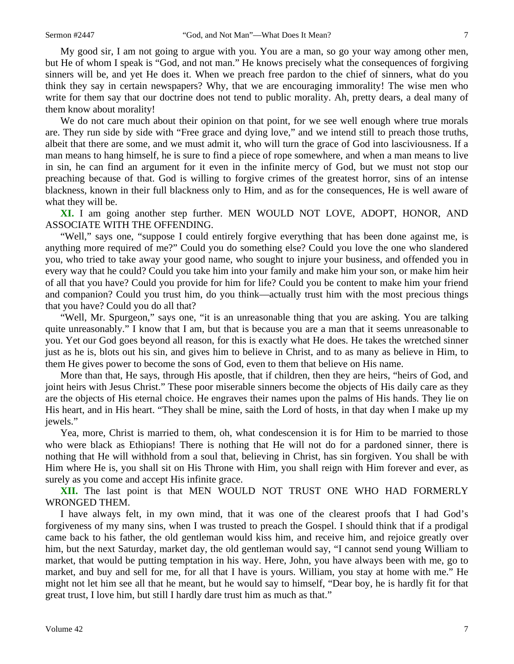My good sir, I am not going to argue with you. You are a man, so go your way among other men, but He of whom I speak is "God, and not man." He knows precisely what the consequences of forgiving sinners will be, and yet He does it. When we preach free pardon to the chief of sinners, what do you think they say in certain newspapers? Why, that we are encouraging immorality! The wise men who write for them say that our doctrine does not tend to public morality. Ah, pretty dears, a deal many of them know about morality!

We do not care much about their opinion on that point, for we see well enough where true morals are. They run side by side with "Free grace and dying love," and we intend still to preach those truths, albeit that there are some, and we must admit it, who will turn the grace of God into lasciviousness. If a man means to hang himself, he is sure to find a piece of rope somewhere, and when a man means to live in sin, he can find an argument for it even in the infinite mercy of God, but we must not stop our preaching because of that. God is willing to forgive crimes of the greatest horror, sins of an intense blackness, known in their full blackness only to Him, and as for the consequences, He is well aware of what they will be.

**XI.** I am going another step further. MEN WOULD NOT LOVE, ADOPT, HONOR, AND ASSOCIATE WITH THE OFFENDING.

"Well," says one, "suppose I could entirely forgive everything that has been done against me, is anything more required of me?" Could you do something else? Could you love the one who slandered you, who tried to take away your good name, who sought to injure your business, and offended you in every way that he could? Could you take him into your family and make him your son, or make him heir of all that you have? Could you provide for him for life? Could you be content to make him your friend and companion? Could you trust him, do you think—actually trust him with the most precious things that you have? Could you do all that?

"Well, Mr. Spurgeon," says one, "it is an unreasonable thing that you are asking. You are talking quite unreasonably." I know that I am, but that is because you are a man that it seems unreasonable to you. Yet our God goes beyond all reason, for this is exactly what He does. He takes the wretched sinner just as he is, blots out his sin, and gives him to believe in Christ, and to as many as believe in Him, to them He gives power to become the sons of God, even to them that believe on His name.

More than that, He says, through His apostle, that if children, then they are heirs, "heirs of God, and joint heirs with Jesus Christ." These poor miserable sinners become the objects of His daily care as they are the objects of His eternal choice. He engraves their names upon the palms of His hands. They lie on His heart, and in His heart. "They shall be mine, saith the Lord of hosts, in that day when I make up my jewels."

Yea, more, Christ is married to them, oh, what condescension it is for Him to be married to those who were black as Ethiopians! There is nothing that He will not do for a pardoned sinner, there is nothing that He will withhold from a soul that, believing in Christ, has sin forgiven. You shall be with Him where He is, you shall sit on His Throne with Him, you shall reign with Him forever and ever, as surely as you come and accept His infinite grace.

**XII.** The last point is that MEN WOULD NOT TRUST ONE WHO HAD FORMERLY WRONGED THEM.

I have always felt, in my own mind, that it was one of the clearest proofs that I had God's forgiveness of my many sins, when I was trusted to preach the Gospel. I should think that if a prodigal came back to his father, the old gentleman would kiss him, and receive him, and rejoice greatly over him, but the next Saturday, market day, the old gentleman would say, "I cannot send young William to market, that would be putting temptation in his way. Here, John, you have always been with me, go to market, and buy and sell for me, for all that I have is yours. William, you stay at home with me." He might not let him see all that he meant, but he would say to himself, "Dear boy, he is hardly fit for that great trust, I love him, but still I hardly dare trust him as much as that."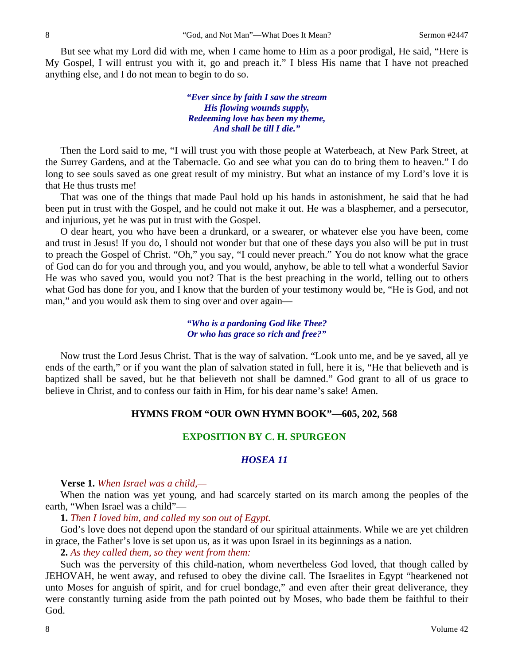But see what my Lord did with me, when I came home to Him as a poor prodigal, He said, "Here is My Gospel, I will entrust you with it, go and preach it." I bless His name that I have not preached anything else, and I do not mean to begin to do so.

> *"Ever since by faith I saw the stream His flowing wounds supply, Redeeming love has been my theme, And shall be till I die."*

Then the Lord said to me, "I will trust you with those people at Waterbeach, at New Park Street, at the Surrey Gardens, and at the Tabernacle. Go and see what you can do to bring them to heaven." I do long to see souls saved as one great result of my ministry. But what an instance of my Lord's love it is that He thus trusts me!

That was one of the things that made Paul hold up his hands in astonishment, he said that he had been put in trust with the Gospel, and he could not make it out. He was a blasphemer, and a persecutor, and injurious, yet he was put in trust with the Gospel.

O dear heart, you who have been a drunkard, or a swearer, or whatever else you have been, come and trust in Jesus! If you do, I should not wonder but that one of these days you also will be put in trust to preach the Gospel of Christ. "Oh," you say, "I could never preach." You do not know what the grace of God can do for you and through you, and you would, anyhow, be able to tell what a wonderful Savior He was who saved you, would you not? That is the best preaching in the world, telling out to others what God has done for you, and I know that the burden of your testimony would be, "He is God, and not man," and you would ask them to sing over and over again—

> *"Who is a pardoning God like Thee? Or who has grace so rich and free?"*

Now trust the Lord Jesus Christ. That is the way of salvation. "Look unto me, and be ye saved, all ye ends of the earth," or if you want the plan of salvation stated in full, here it is, "He that believeth and is baptized shall be saved, but he that believeth not shall be damned." God grant to all of us grace to believe in Christ, and to confess our faith in Him, for his dear name's sake! Amen.

#### **HYMNS FROM "OUR OWN HYMN BOOK"—605, 202, 568**

## **EXPOSITION BY C. H. SPURGEON**

## *HOSEA 11*

**Verse 1.** *When Israel was a child,—* 

When the nation was yet young, and had scarcely started on its march among the peoples of the earth, "When Israel was a child"—

**1.** *Then I loved him, and called my son out of Egypt.* 

God's love does not depend upon the standard of our spiritual attainments. While we are yet children in grace, the Father's love is set upon us, as it was upon Israel in its beginnings as a nation.

**2.** *As they called them, so they went from them:* 

Such was the perversity of this child-nation, whom nevertheless God loved, that though called by JEHOVAH, he went away, and refused to obey the divine call. The Israelites in Egypt "hearkened not unto Moses for anguish of spirit, and for cruel bondage," and even after their great deliverance, they were constantly turning aside from the path pointed out by Moses, who bade them be faithful to their God.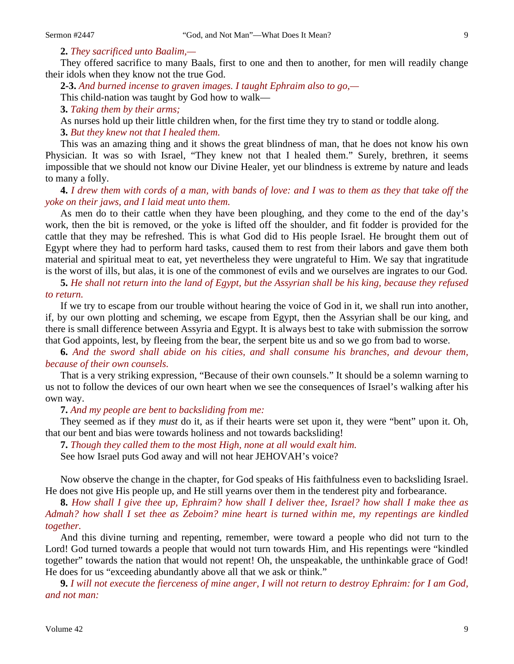**2.** *They sacrificed unto Baalim,—* 

They offered sacrifice to many Baals, first to one and then to another, for men will readily change their idols when they know not the true God.

**2-3.** *And burned incense to graven images. I taught Ephraim also to go,—*  This child-nation was taught by God how to walk—

**3.** *Taking them by their arms;* 

As nurses hold up their little children when, for the first time they try to stand or toddle along.

**3.** *But they knew not that I healed them.* 

This was an amazing thing and it shows the great blindness of man, that he does not know his own Physician. It was so with Israel, "They knew not that I healed them." Surely, brethren, it seems impossible that we should not know our Divine Healer, yet our blindness is extreme by nature and leads to many a folly.

**4.** *I drew them with cords of a man, with bands of love: and I was to them as they that take off the yoke on their jaws, and I laid meat unto them.* 

As men do to their cattle when they have been ploughing, and they come to the end of the day's work, then the bit is removed, or the yoke is lifted off the shoulder, and fit fodder is provided for the cattle that they may be refreshed. This is what God did to His people Israel. He brought them out of Egypt where they had to perform hard tasks, caused them to rest from their labors and gave them both material and spiritual meat to eat, yet nevertheless they were ungrateful to Him. We say that ingratitude is the worst of ills, but alas, it is one of the commonest of evils and we ourselves are ingrates to our God.

**5.** *He shall not return into the land of Egypt, but the Assyrian shall be his king, because they refused to return.* 

If we try to escape from our trouble without hearing the voice of God in it, we shall run into another, if, by our own plotting and scheming, we escape from Egypt, then the Assyrian shall be our king, and there is small difference between Assyria and Egypt. It is always best to take with submission the sorrow that God appoints, lest, by fleeing from the bear, the serpent bite us and so we go from bad to worse.

**6.** *And the sword shall abide on his cities, and shall consume his branches, and devour them, because of their own counsels.* 

That is a very striking expression, "Because of their own counsels." It should be a solemn warning to us not to follow the devices of our own heart when we see the consequences of Israel's walking after his own way.

**7.** *And my people are bent to backsliding from me:* 

They seemed as if they *must* do it, as if their hearts were set upon it, they were "bent" upon it. Oh, that our bent and bias were towards holiness and not towards backsliding!

**7.** *Though they called them to the most High, none at all would exalt him.* 

See how Israel puts God away and will not hear JEHOVAH's voice?

Now observe the change in the chapter, for God speaks of His faithfulness even to backsliding Israel. He does not give His people up, and He still yearns over them in the tenderest pity and forbearance.

**8.** *How shall I give thee up, Ephraim? how shall I deliver thee, Israel? how shall I make thee as Admah? how shall I set thee as Zeboim? mine heart is turned within me, my repentings are kindled together.* 

And this divine turning and repenting, remember, were toward a people who did not turn to the Lord! God turned towards a people that would not turn towards Him, and His repentings were "kindled together" towards the nation that would not repent! Oh, the unspeakable, the unthinkable grace of God! He does for us "exceeding abundantly above all that we ask or think."

**9.** *I will not execute the fierceness of mine anger, I will not return to destroy Ephraim: for I am God, and not man:*